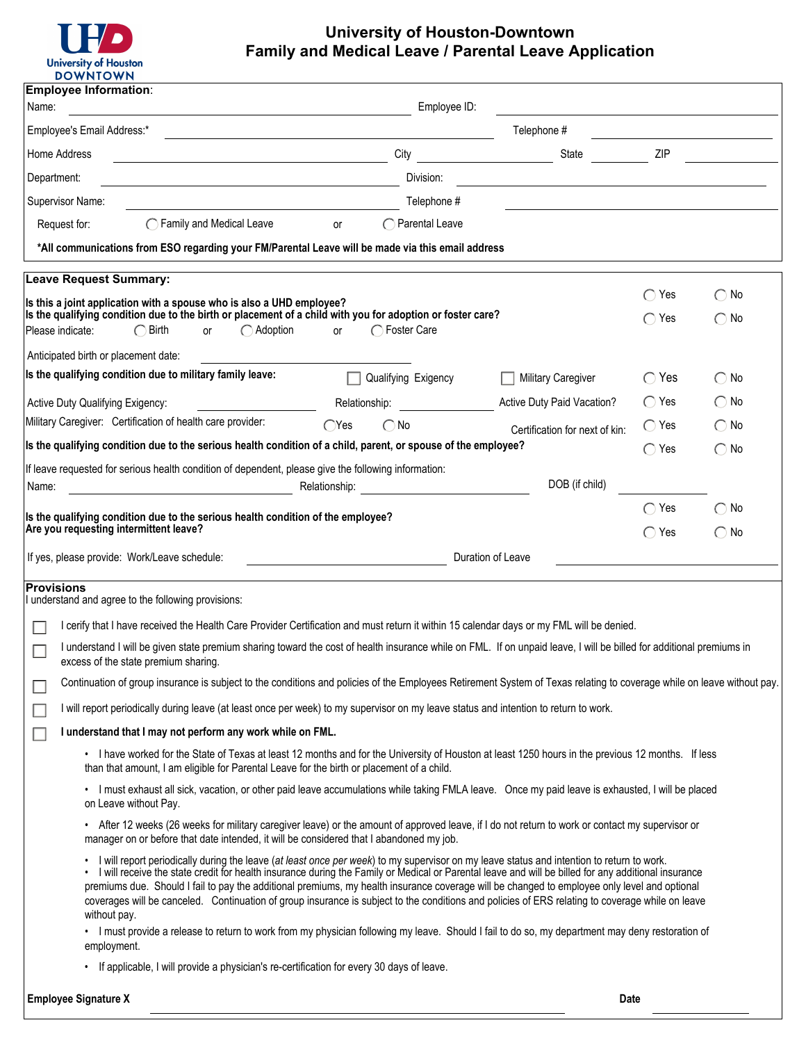

# **University of Houston-Downtown Family and Medical Leave / Parental Leave Application**

|                                       | <b>DOWNIOWN</b>                                                                                                                                                                                                                                                                                                                                                                                                                                                                                                                                                                                                      |                                                                                                                |                                                                                           |                  |                               |
|---------------------------------------|----------------------------------------------------------------------------------------------------------------------------------------------------------------------------------------------------------------------------------------------------------------------------------------------------------------------------------------------------------------------------------------------------------------------------------------------------------------------------------------------------------------------------------------------------------------------------------------------------------------------|----------------------------------------------------------------------------------------------------------------|-------------------------------------------------------------------------------------------|------------------|-------------------------------|
| <b>Employee Information:</b><br>Name: | <u> 1989 - Johann Stoff, deutscher Stoff, der Stoff, der Stoff, der Stoff, der Stoff, der Stoff, der Stoff, der S</u>                                                                                                                                                                                                                                                                                                                                                                                                                                                                                                | Employee ID:                                                                                                   |                                                                                           |                  |                               |
| Employee's Email Address:*            | <u> 1989 - Johann Stein, marwolaethau a bhann an t-Amhain an t-Amhain an t-Amhain an t-Amhain an t-Amhain an t-A</u>                                                                                                                                                                                                                                                                                                                                                                                                                                                                                                 |                                                                                                                | Telephone #                                                                               |                  |                               |
| Home Address                          | <u> 1989 - Johann Barn, mars eta bainar eta industrial eta baina eta baina eta baina eta baina eta baina eta bain</u>                                                                                                                                                                                                                                                                                                                                                                                                                                                                                                | City                                                                                                           | State                                                                                     | ZIP              |                               |
| Department:                           | <u> 1989 - Johann Barbara, martxa alemani</u> ar a                                                                                                                                                                                                                                                                                                                                                                                                                                                                                                                                                                   | Division:                                                                                                      | the control of the control of the control of the control of the control of the control of |                  |                               |
| Supervisor Name:                      |                                                                                                                                                                                                                                                                                                                                                                                                                                                                                                                                                                                                                      | Telephone #                                                                                                    |                                                                                           |                  |                               |
| Request for:                          | $\bigcirc$ Family and Medical Leave                                                                                                                                                                                                                                                                                                                                                                                                                                                                                                                                                                                  | ◯ Parental Leave<br>or                                                                                         |                                                                                           |                  |                               |
|                                       | *All communications from ESO regarding your FM/Parental Leave will be made via this email address                                                                                                                                                                                                                                                                                                                                                                                                                                                                                                                    |                                                                                                                |                                                                                           |                  |                               |
|                                       | <b>Leave Request Summary:</b>                                                                                                                                                                                                                                                                                                                                                                                                                                                                                                                                                                                        |                                                                                                                |                                                                                           |                  |                               |
| Please indicate:                      | Is this a joint application with a spouse who is also a UHD employee?<br>Is the qualifying condition due to the birth or placement of a child with you for adoption or foster care?<br>$\bigcap$ Birth<br>$\bigcap$ Adoption<br>or                                                                                                                                                                                                                                                                                                                                                                                   | ◯ Foster Care<br>or                                                                                            |                                                                                           | Yes<br>Yes       | $\bigcap$ No<br>$\bigcirc$ No |
|                                       | Anticipated birth or placement date:                                                                                                                                                                                                                                                                                                                                                                                                                                                                                                                                                                                 |                                                                                                                |                                                                                           |                  |                               |
|                                       | Is the qualifying condition due to military family leave:                                                                                                                                                                                                                                                                                                                                                                                                                                                                                                                                                            | Qualifying Exigency                                                                                            | Military Caregiver                                                                        | $\bigcirc$ Yes   | $\bigcirc$ No                 |
|                                       | Active Duty Qualifying Exigency:                                                                                                                                                                                                                                                                                                                                                                                                                                                                                                                                                                                     | Relationship: Note that the set of the set of the set of the set of the set of the set of the set of the set o | Active Duty Paid Vacation?                                                                | $\bigcap$ Yes    | $\bigcirc$ No                 |
|                                       | Military Caregiver: Certification of health care provider:                                                                                                                                                                                                                                                                                                                                                                                                                                                                                                                                                           | $\bigcirc$ No<br>`Yes                                                                                          | Certification for next of kin:                                                            | $\bigcap$ Yes    | $\bigcirc$ No                 |
|                                       | Is the qualifying condition due to the serious health condition of a child, parent, or spouse of the employee?                                                                                                                                                                                                                                                                                                                                                                                                                                                                                                       |                                                                                                                |                                                                                           | $\bigcap$ Yes    | $\bigcap$ No                  |
|                                       | If leave requested for serious health condition of dependent, please give the following information:                                                                                                                                                                                                                                                                                                                                                                                                                                                                                                                 |                                                                                                                |                                                                                           |                  |                               |
| Name:                                 |                                                                                                                                                                                                                                                                                                                                                                                                                                                                                                                                                                                                                      |                                                                                                                | DOB (if child)                                                                            |                  |                               |
|                                       | Is the qualifying condition due to the serious health condition of the employee?                                                                                                                                                                                                                                                                                                                                                                                                                                                                                                                                     |                                                                                                                |                                                                                           | ◯<br>Yes         | $\bigcirc$ No                 |
|                                       | Are you requesting intermittent leave?                                                                                                                                                                                                                                                                                                                                                                                                                                                                                                                                                                               |                                                                                                                |                                                                                           | $\subset$<br>Yes | $\bigcirc$ No                 |
|                                       | If yes, please provide: Work/Leave schedule:                                                                                                                                                                                                                                                                                                                                                                                                                                                                                                                                                                         |                                                                                                                | Duration of Leave                                                                         |                  |                               |
| <b>Provisions</b>                     |                                                                                                                                                                                                                                                                                                                                                                                                                                                                                                                                                                                                                      |                                                                                                                |                                                                                           |                  |                               |
|                                       | I understand and agree to the following provisions:                                                                                                                                                                                                                                                                                                                                                                                                                                                                                                                                                                  |                                                                                                                |                                                                                           |                  |                               |
|                                       | l cerify that I have received the Health Care Provider Certification and must return it within 15 calendar days or my FML will be denied.                                                                                                                                                                                                                                                                                                                                                                                                                                                                            |                                                                                                                |                                                                                           |                  |                               |
|                                       | I understand I will be given state premium sharing toward the cost of health insurance while on FML. If on unpaid leave, I will be billed for additional premiums in<br>excess of the state premium sharing.                                                                                                                                                                                                                                                                                                                                                                                                         |                                                                                                                |                                                                                           |                  |                               |
|                                       | Continuation of group insurance is subject to the conditions and policies of the Employees Retirement System of Texas relating to coverage while on leave without pay.                                                                                                                                                                                                                                                                                                                                                                                                                                               |                                                                                                                |                                                                                           |                  |                               |
|                                       | I will report periodically during leave (at least once per week) to my supervisor on my leave status and intention to return to work.                                                                                                                                                                                                                                                                                                                                                                                                                                                                                |                                                                                                                |                                                                                           |                  |                               |
|                                       | I understand that I may not perform any work while on FML.                                                                                                                                                                                                                                                                                                                                                                                                                                                                                                                                                           |                                                                                                                |                                                                                           |                  |                               |
|                                       | • I have worked for the State of Texas at least 12 months and for the University of Houston at least 1250 hours in the previous 12 months. If less                                                                                                                                                                                                                                                                                                                                                                                                                                                                   |                                                                                                                |                                                                                           |                  |                               |
|                                       | than that amount, I am eligible for Parental Leave for the birth or placement of a child.                                                                                                                                                                                                                                                                                                                                                                                                                                                                                                                            |                                                                                                                |                                                                                           |                  |                               |
|                                       | • I must exhaust all sick, vacation, or other paid leave accumulations while taking FMLA leave. Once my paid leave is exhausted, I will be placed<br>on Leave without Pay.                                                                                                                                                                                                                                                                                                                                                                                                                                           |                                                                                                                |                                                                                           |                  |                               |
|                                       | • After 12 weeks (26 weeks for military caregiver leave) or the amount of approved leave, if I do not return to work or contact my supervisor or<br>manager on or before that date intended, it will be considered that I abandoned my job.                                                                                                                                                                                                                                                                                                                                                                          |                                                                                                                |                                                                                           |                  |                               |
| ٠                                     | I will report periodically during the leave (at least once per week) to my supervisor on my leave status and intention to return to work.<br>I will receive the state credit for health insurance during the Family or Medical or Parental leave and will be billed for any additional insurance<br>premiums due. Should I fail to pay the additional premiums, my health insurance coverage will be changed to employee only level and optional<br>coverages will be canceled. Continuation of group insurance is subject to the conditions and policies of ERS relating to coverage while on leave<br>without pay. |                                                                                                                |                                                                                           |                  |                               |
|                                       | • I must provide a release to return to work from my physician following my leave. Should I fail to do so, my department may deny restoration of<br>employment.<br>If applicable, I will provide a physician's re-certification for every 30 days of leave.                                                                                                                                                                                                                                                                                                                                                          |                                                                                                                |                                                                                           |                  |                               |